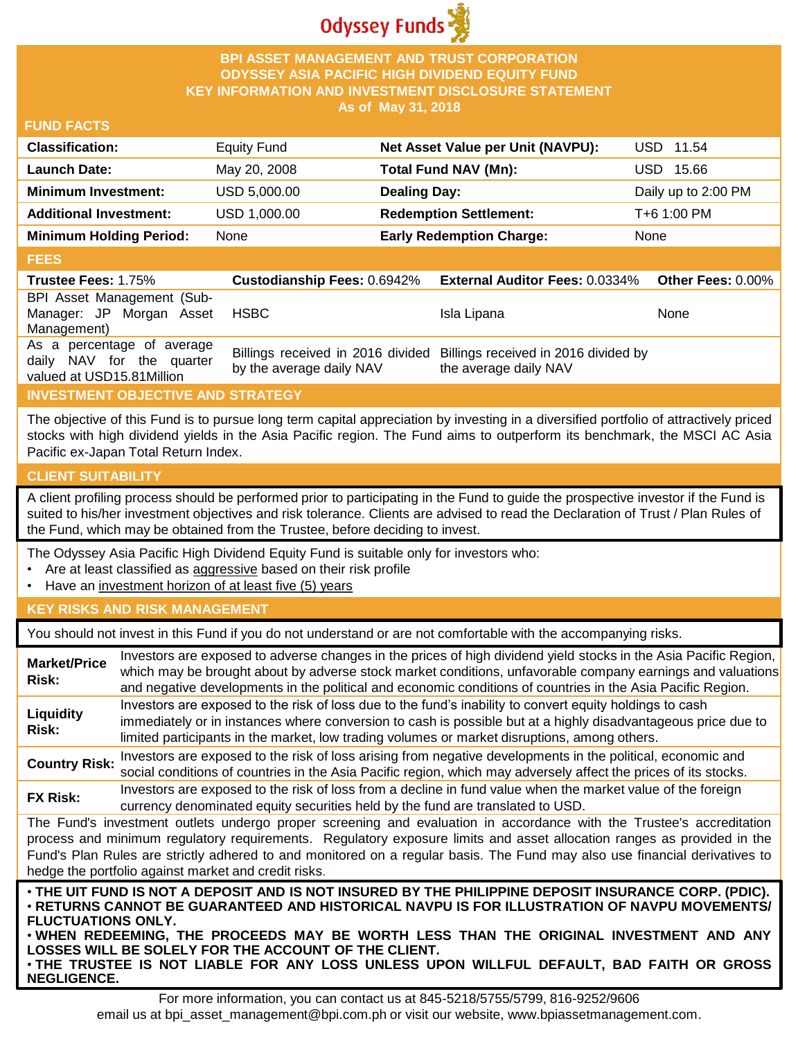

### **BPI ASSET MANAGEMENT AND TRUST CORPORATION ODYSSEY ASIA PACIFIC HIGH DIVIDEND EQUITY FUND KEY INFORMATION AND INVESTMENT DISCLOSURE STATEMENT As of May 31, 2018**

#### **FUND FACTS**

| <b>Classification:</b>         | <b>Equity Fund</b> | Net Asset Value per Unit (NAVPU): | USD 11.54           |
|--------------------------------|--------------------|-----------------------------------|---------------------|
| <b>Launch Date:</b>            | May 20, 2008       | <b>Total Fund NAV (Mn):</b>       | 15.66<br>USD.       |
| <b>Minimum Investment:</b>     | USD 5,000.00       | <b>Dealing Day:</b>               | Daily up to 2:00 PM |
| <b>Additional Investment:</b>  | USD 1,000.00       | <b>Redemption Settlement:</b>     | T+6 1:00 PM         |
| <b>Minimum Holding Period:</b> | None               | <b>Early Redemption Charge:</b>   | None                |

#### **FEES**

| -----                                                   |                          |                                                                                                 |                   |
|---------------------------------------------------------|--------------------------|-------------------------------------------------------------------------------------------------|-------------------|
| <b>Trustee Fees: 1.75%</b>                              |                          | Custodianship Fees: 0.6942% External Auditor Fees: 0.0334%                                      | Other Fees: 0.00% |
| BPI Asset Management (Sub-                              |                          |                                                                                                 |                   |
| Manager: JP Morgan Asset                                | HSBC                     | Isla Lipana                                                                                     | <b>None</b>       |
| Management)                                             |                          |                                                                                                 |                   |
| As a percentage of average<br>daily NAV for the quarter | by the average daily NAV | Billings received in 2016 divided Billings received in 2016 divided by<br>the average daily NAV |                   |
| valued at USD15.81Million                               |                          |                                                                                                 |                   |

## **INVESTMENT OBJECTIVE AND STRATEGY**

The objective of this Fund is to pursue long term capital appreciation by investing in a diversified portfolio of attractively priced stocks with high dividend yields in the Asia Pacific region. The Fund aims to outperform its benchmark, the MSCI AC Asia Pacific ex-Japan Total Return Index.

## **CLIENT SUITABILITY**

**NEGLIGENCE.**

A client profiling process should be performed prior to participating in the Fund to guide the prospective investor if the Fund is suited to his/her investment objectives and risk tolerance. Clients are advised to read the Declaration of Trust / Plan Rules of the Fund, which may be obtained from the Trustee, before deciding to invest.

The Odyssey Asia Pacific High Dividend Equity Fund is suitable only for investors who:

- Are at least classified as aggressive based on their risk profile
- Have an investment horizon of at least five (5) years

#### **KEY RISKS AND RISK MANAGEMENT**

You should not invest in this Fund if you do not understand or are not comfortable with the accompanying risks.

| <b>Market/Price</b><br>Risk:                                                                                                                                                                                                                                                                                                                                                                                                         | Investors are exposed to adverse changes in the prices of high dividend yield stocks in the Asia Pacific Region,<br>which may be brought about by adverse stock market conditions, unfavorable company earnings and valuations<br>and negative developments in the political and economic conditions of countries in the Asia Pacific Region.                                                                                                   |  |  |
|--------------------------------------------------------------------------------------------------------------------------------------------------------------------------------------------------------------------------------------------------------------------------------------------------------------------------------------------------------------------------------------------------------------------------------------|-------------------------------------------------------------------------------------------------------------------------------------------------------------------------------------------------------------------------------------------------------------------------------------------------------------------------------------------------------------------------------------------------------------------------------------------------|--|--|
| Liquidity<br>Risk:                                                                                                                                                                                                                                                                                                                                                                                                                   | Investors are exposed to the risk of loss due to the fund's inability to convert equity holdings to cash<br>immediately or in instances where conversion to cash is possible but at a highly disadvantageous price due to<br>limited participants in the market, low trading volumes or market disruptions, among others.                                                                                                                       |  |  |
| <b>Country Risk:</b>                                                                                                                                                                                                                                                                                                                                                                                                                 | Investors are exposed to the risk of loss arising from negative developments in the political, economic and<br>social conditions of countries in the Asia Pacific region, which may adversely affect the prices of its stocks.                                                                                                                                                                                                                  |  |  |
| <b>FX Risk:</b>                                                                                                                                                                                                                                                                                                                                                                                                                      | Investors are exposed to the risk of loss from a decline in fund value when the market value of the foreign<br>currency denominated equity securities held by the fund are translated to USD.                                                                                                                                                                                                                                                   |  |  |
| The Fund's investment outlets undergo proper screening and evaluation in accordance with the Trustee's accreditation<br>process and minimum regulatory requirements. Regulatory exposure limits and asset allocation ranges as provided in the<br>Fund's Plan Rules are strictly adhered to and monitored on a regular basis. The Fund may also use financial derivatives to<br>hedge the portfolio against market and credit risks. |                                                                                                                                                                                                                                                                                                                                                                                                                                                 |  |  |
| <b>FLUCTUATIONS ONLY.</b>                                                                                                                                                                                                                                                                                                                                                                                                            | . THE UIT FUND IS NOT A DEPOSIT AND IS NOT INSURED BY THE PHILIPPINE DEPOSIT INSURANCE CORP. (PDIC).<br>⋅RETURNS CANNOT BE GUARANTEED AND HISTORICAL NAVPU IS FOR ILLUSTRATION OF NAVPU MOVEMENTS/<br>. WHEN REDEEMING, THE PROCEEDS MAY BE WORTH LESS THAN THE ORIGINAL INVESTMENT AND ANY<br>LOSSES WILL BE SOLELY FOR THE ACCOUNT OF THE CLIENT.<br>. THE TRUSTEE IS NOT LIABLE FOR ANY LOSS UNLESS UPON WILLFUL DEFAULT, BAD FAITH OR GROSS |  |  |

For more information, you can contact us at 845-5218/5755/5799, 816-9252/9606 email us at bpi\_asset\_management@bpi.com.ph or visit our website, www.bpiassetmanagement.com.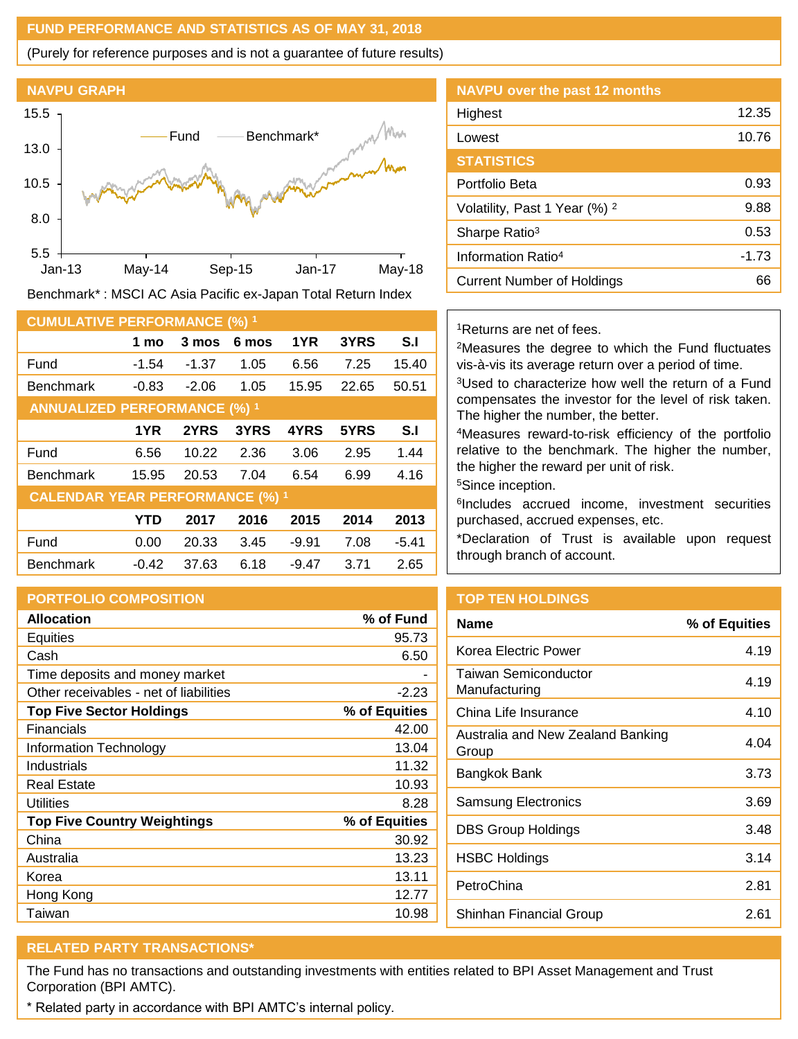### **FUND PERFORMANCE AND STATISTICS AS OF MAY 31, 2018**

(Purely for reference purposes and is not a guarantee of future results)



Benchmark\* : MSCI AC Asia Pacific ex-Japan Total Return Index

| <b>CUMULATIVE PERFORMANCE (%) 1</b>    |            |         |       |         |       |         |
|----------------------------------------|------------|---------|-------|---------|-------|---------|
|                                        | 1 mo       | 3 mos   | 6 mos | 1YR     | 3YRS  | S.I     |
| Fund                                   | $-1.54$    | $-1.37$ | 1.05  | 6.56    | 7.25  | 15.40   |
| <b>Benchmark</b>                       | $-0.83$    | $-2.06$ | 1.05  | 15.95   | 22.65 | 50.51   |
| <b>ANNUALIZED PERFORMANCE (%) 1</b>    |            |         |       |         |       |         |
|                                        | 1YR        | 2YRS    | 3YRS  | 4YRS    | 5YRS  | S.I     |
| Fund                                   | 6.56       | 10.22   | 2.36  | 3.06    | 2.95  | 1.44    |
| <b>Benchmark</b>                       | 15.95      | 20.53   | 7.04  | 6.54    | 6.99  | 4.16    |
| <b>CALENDAR YEAR PERFORMANCE (%) 1</b> |            |         |       |         |       |         |
|                                        | <b>YTD</b> | 2017    | 2016  | 2015    | 2014  | 2013    |
| Fund                                   | 0.00       | 20.33   | 3.45  | $-9.91$ | 7.08  | $-5.41$ |
| <b>Benchmark</b>                       | $-0.42$    | 37.63   | 6.18  | $-9.47$ | 3.71  | 2.65    |

## **PORTFOLIO COMPOSITION**

| <b>Allocation</b>                      | % of Fund     |
|----------------------------------------|---------------|
| Equities                               | 95.73         |
| Cash                                   | 6.50          |
| Time deposits and money market         |               |
| Other receivables - net of liabilities | $-2.23$       |
| <b>Top Five Sector Holdings</b>        | % of Equities |
| Financials                             | 42.00         |
| Information Technology                 | 13.04         |
| Industrials                            | 11.32         |
| <b>Real Estate</b>                     | 10.93         |
| Utilities                              | 8.28          |
| <b>Top Five Country Weightings</b>     | % of Equities |
| China                                  | 30.92         |
| Australia                              | 13.23         |
| Korea                                  | 13.11         |
| Hong Kong                              | 12.77         |
| Taiwan                                 | 10.98         |

| <b>NAVPU</b> over the past 12 months     |         |
|------------------------------------------|---------|
| Highest                                  | 12.35   |
| Lowest                                   | 10.76   |
| <b>STATISTICS</b>                        |         |
| Portfolio Beta                           | 0.93    |
| Volatility, Past 1 Year (%) <sup>2</sup> | 9.88    |
| Sharpe Ratio <sup>3</sup>                | 0.53    |
| Information Ratio <sup>4</sup>           | $-1.73$ |
| Current Number of Holdings               | 66      |
|                                          |         |

### <sup>1</sup>Returns are net of fees.

<sup>2</sup>Measures the degree to which the Fund fluctuates vis-à-vis its average return over a period of time.

<sup>3</sup>Used to characterize how well the return of a Fund compensates the investor for the level of risk taken. The higher the number, the better.

<sup>4</sup>Measures reward-to-risk efficiency of the portfolio relative to the benchmark. The higher the number, the higher the reward per unit of risk.

<sup>5</sup>Since inception.

6 Includes accrued income, investment securities purchased, accrued expenses, etc.

\*Declaration of Trust is available upon request through branch of account.

## **TOP TEN HOLDINGS**

| Name                                       | % of Equities |
|--------------------------------------------|---------------|
| Korea Electric Power                       | 4.19          |
| Taiwan Semiconductor<br>Manufacturing      | 4.19          |
| China Life Insurance                       | 4.10          |
| Australia and New Zealand Banking<br>Group | 4.04          |
| Bangkok Bank                               | 3.73          |
| Samsung Electronics                        | 3.69          |
| DBS Group Holdings                         | 3.48          |
| <b>HSBC Holdings</b>                       | 3.14          |
| PetroChina                                 | 2.81          |
| Shinhan Financial Group                    | 2.61          |
|                                            |               |

# **RELATED PARTY TRANSACTIONS\***

The Fund has no transactions and outstanding investments with entities related to BPI Asset Management and Trust Corporation (BPI AMTC).

\* Related party in accordance with BPI AMTC's internal policy.